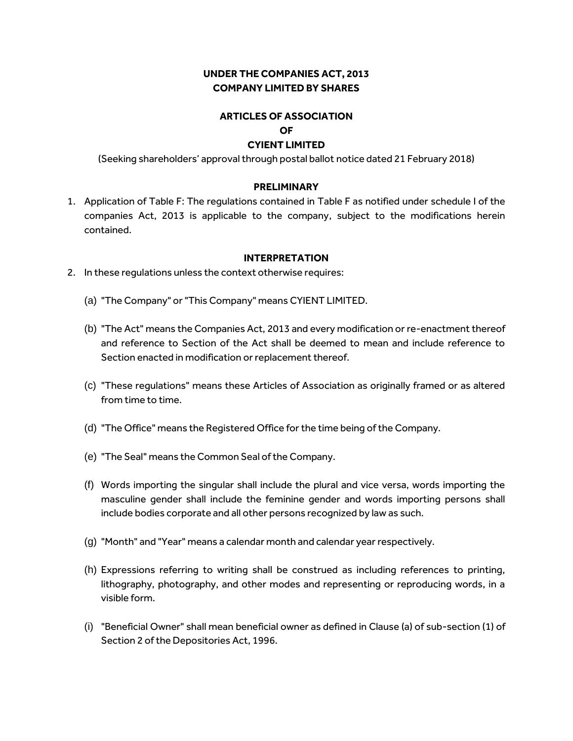## **UNDER THE COMPANIES ACT, 2013 COMPANY LIMITED BY SHARES**

# **ARTICLES OF ASSOCIATION**

# **OF**

#### **CYIENT LIMITED**

(Seeking shareholders' approval through postal ballot notice dated 21 February 2018)

#### **PRELIMINARY**

1. Application of Table F: The regulations contained in Table F as notified under schedule I of the companies Act, 2013 is applicable to the company, subject to the modifications herein contained.

#### **INTERPRETATION**

- 2. In these regulations unless the context otherwise requires:
	- (a) "The Company" or "This Company" means CYIENT LIMITED.
	- (b) "The Act" means the Companies Act, 2013 and every modification or re-enactment thereof and reference to Section of the Act shall be deemed to mean and include reference to Section enacted in modification or replacement thereof.
	- (c) "These regulations" means these Articles of Association as originally framed or as altered from time to time.
	- (d) "The Office" means the Registered Office for the time being of the Company.
	- (e) "The Seal" means the Common Seal of the Company.
	- (f) Words importing the singular shall include the plural and vice versa, words importing the masculine gender shall include the feminine gender and words importing persons shall include bodies corporate and all other persons recognized by law as such.
	- (g) "Month" and "Year" means a calendar month and calendar year respectively.
	- (h) Expressions referring to writing shall be construed as including references to printing, lithography, photography, and other modes and representing or reproducing words, in a visible form.
	- (i) "Beneficial Owner" shall mean beneficial owner as defined in Clause (a) of sub-section (1) of Section 2 of the Depositories Act, 1996.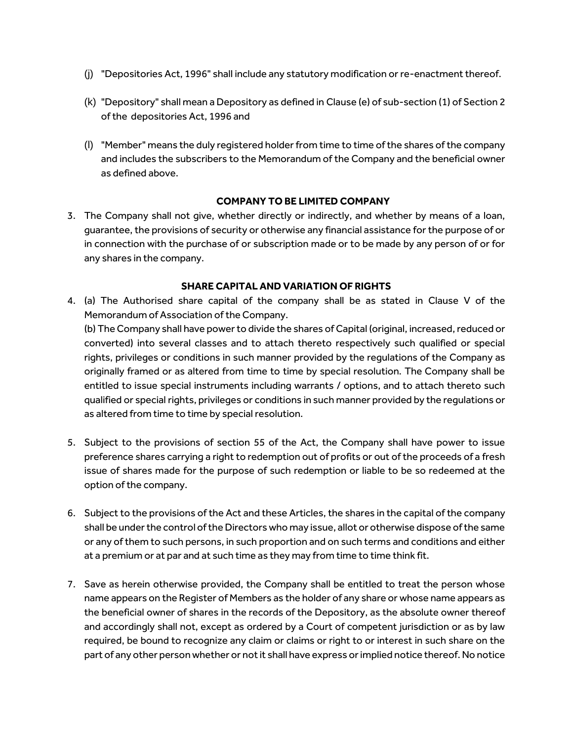- (j) "Depositories Act, 1996" shall include any statutory modification or re-enactment thereof.
- (k) "Depository" shall mean a Depository as defined in Clause (e) of sub-section (1) of Section 2 of the depositories Act, 1996 and
- (l) "Member" means the duly registered holder from time to time of the shares of the company and includes the subscribers to the Memorandum of the Company and the beneficial owner as defined above.

## **COMPANY TO BE LIMITED COMPANY**

3. The Company shall not give, whether directly or indirectly, and whether by means of a loan, guarantee, the provisions of security or otherwise any financial assistance for the purpose of or in connection with the purchase of or subscription made or to be made by any person of or for any shares in the company.

#### **SHARE CAPITAL AND VARIATION OF RIGHTS**

4. (a) The Authorised share capital of the company shall be as stated in Clause V of the Memorandum of Association of the Company.

(b) The Company shall have power to divide the shares of Capital (original, increased, reduced or converted) into several classes and to attach thereto respectively such qualified or special rights, privileges or conditions in such manner provided by the regulations of the Company as originally framed or as altered from time to time by special resolution. The Company shall be entitled to issue special instruments including warrants / options, and to attach thereto such qualified or special rights, privileges or conditions in such manner provided by the regulations or as altered from time to time by special resolution.

- 5. Subject to the provisions of section 55 of the Act, the Company shall have power to issue preference shares carrying a right to redemption out of profits or out of the proceeds of a fresh issue of shares made for the purpose of such redemption or liable to be so redeemed at the option of the company.
- 6. Subject to the provisions of the Act and these Articles, the shares in the capital of the company shall be under the control of the Directors who may issue, allot or otherwise dispose of the same or any of them to such persons, in such proportion and on such terms and conditions and either at a premium or at par and at such time as they may from time to time think fit.
- 7. Save as herein otherwise provided, the Company shall be entitled to treat the person whose name appears on the Register of Members as the holder of any share or whose name appears as the beneficial owner of shares in the records of the Depository, as the absolute owner thereof and accordingly shall not, except as ordered by a Court of competent jurisdiction or as by law required, be bound to recognize any claim or claims or right to or interest in such share on the part of any other person whether or not it shall have express or implied notice thereof. No notice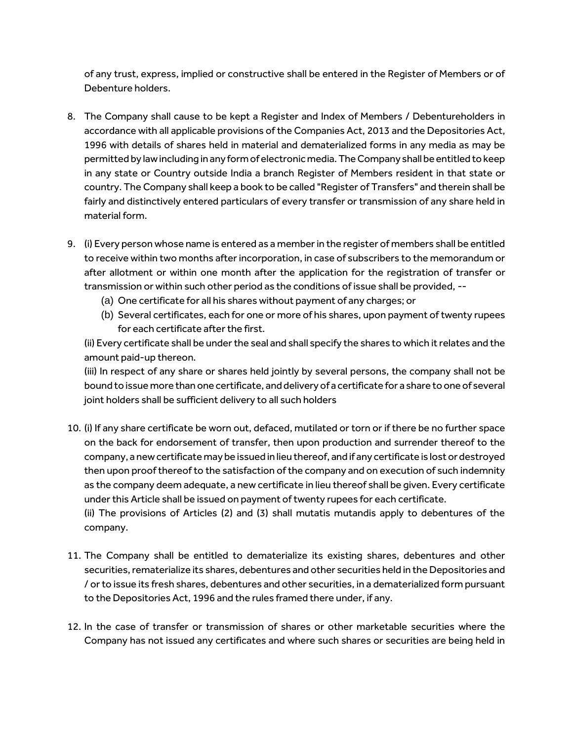of any trust, express, implied or constructive shall be entered in the Register of Members or of Debenture holders.

- 8. The Company shall cause to be kept a Register and Index of Members / Debentureholders in accordance with all applicable provisions of the Companies Act, 2013 and the Depositories Act, 1996 with details of shares held in material and dematerialized forms in any media as may be permitted by law including in any form of electronic media. The Company shall be entitled to keep in any state or Country outside India a branch Register of Members resident in that state or country. The Company shall keep a book to be called "Register of Transfers" and therein shall be fairly and distinctively entered particulars of every transfer or transmission of any share held in material form.
- 9. (i) Every person whose name is entered as a member in the register of members shall be entitled to receive within two months after incorporation, in case of subscribers to the memorandum or after allotment or within one month after the application for the registration of transfer or transmission or within such other period as the conditions of issue shall be provided, --
	- (a) One certificate for all his shares without payment of any charges; or
	- (b) Several certificates, each for one or more of his shares, upon payment of twenty rupees for each certificate after the first.

(ii) Every certificate shall be under the seal and shall specify the shares to which it relates and the amount paid-up thereon.

(iii) In respect of any share or shares held jointly by several persons, the company shall not be bound to issue more than one certificate, and delivery of a certificate for a share to one of several joint holders shall be sufficient delivery to all such holders

- 10. (i) If any share certificate be worn out, defaced, mutilated or torn or if there be no further space on the back for endorsement of transfer, then upon production and surrender thereof to the company, a new certificate may be issued in lieu thereof, and if any certificate is lost or destroyed then upon proof thereof to the satisfaction of the company and on execution of such indemnity as the company deem adequate, a new certificate in lieu thereof shall be given. Every certificate under this Article shall be issued on payment of twenty rupees for each certificate. (ii) The provisions of Articles (2) and (3) shall mutatis mutandis apply to debentures of the company.
- 11. The Company shall be entitled to dematerialize its existing shares, debentures and other securities, rematerialize its shares, debentures and other securities held in the Depositories and / or to issue its fresh shares, debentures and other securities, in a dematerialized form pursuant to the Depositories Act, 1996 and the rules framed there under, if any.
- 12. In the case of transfer or transmission of shares or other marketable securities where the Company has not issued any certificates and where such shares or securities are being held in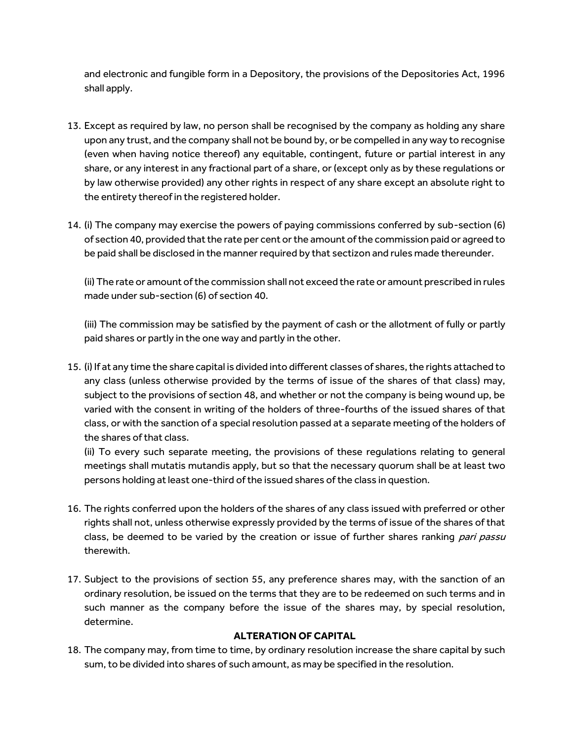and electronic and fungible form in a Depository, the provisions of the Depositories Act, 1996 shall apply.

- 13. Except as required by law, no person shall be recognised by the company as holding any share upon any trust, and the company shall not be bound by, or be compelled in any way to recognise (even when having notice thereof) any equitable, contingent, future or partial interest in any share, or any interest in any fractional part of a share, or (except only as by these regulations or by law otherwise provided) any other rights in respect of any share except an absolute right to the entirety thereof in the registered holder.
- 14. (i) The company may exercise the powers of paying commissions conferred by sub-section (6) of section 40, provided that the rate per cent or the amount of the commission paid or agreed to be paid shall be disclosed in the manner required by that sectizon and rules made thereunder.

(ii) The rate or amount of the commission shall not exceed the rate or amount prescribed in rules made under sub-section (6) of section 40.

(iii) The commission may be satisfied by the payment of cash or the allotment of fully or partly paid shares or partly in the one way and partly in the other.

15. (i) If at any time the share capital is divided into different classes of shares, the rights attached to any class (unless otherwise provided by the terms of issue of the shares of that class) may, subject to the provisions of section 48, and whether or not the company is being wound up, be varied with the consent in writing of the holders of three-fourths of the issued shares of that class, or with the sanction of a special resolution passed at a separate meeting of the holders of the shares of that class.

(ii) To every such separate meeting, the provisions of these regulations relating to general meetings shall mutatis mutandis apply, but so that the necessary quorum shall be at least two persons holding at least one-third of the issued shares of the class in question.

- 16. The rights conferred upon the holders of the shares of any class issued with preferred or other rights shall not, unless otherwise expressly provided by the terms of issue of the shares of that class, be deemed to be varied by the creation or issue of further shares ranking *pari passu* therewith.
- 17. Subject to the provisions of section 55, any preference shares may, with the sanction of an ordinary resolution, be issued on the terms that they are to be redeemed on such terms and in such manner as the company before the issue of the shares may, by special resolution, determine.

# **ALTERATION OF CAPITAL**

18. The company may, from time to time, by ordinary resolution increase the share capital by such sum, to be divided into shares of such amount, as may be specified in the resolution.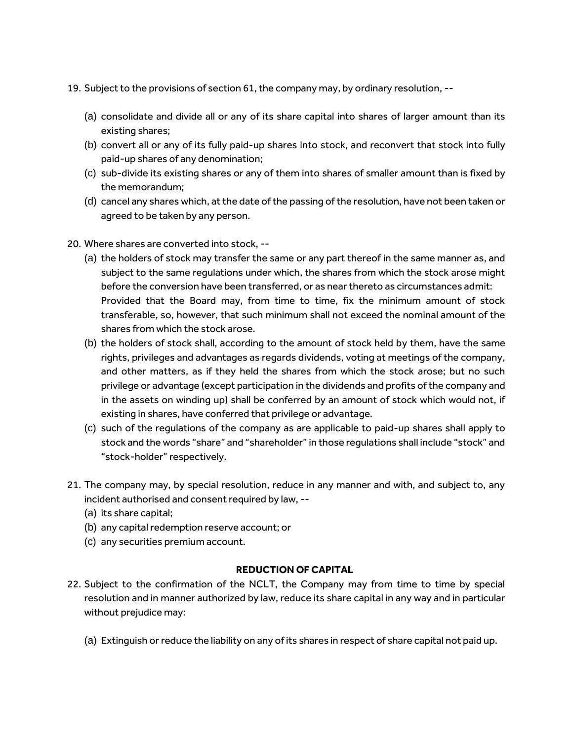- 19. Subject to the provisions of section 61, the company may, by ordinary resolution, --
	- (a) consolidate and divide all or any of its share capital into shares of larger amount than its existing shares;
	- (b) convert all or any of its fully paid-up shares into stock, and reconvert that stock into fully paid-up shares of any denomination;
	- (c) sub-divide its existing shares or any of them into shares of smaller amount than is fixed by the memorandum;
	- (d) cancel any shares which, at the date of the passing of the resolution, have not been taken or agreed to be taken by any person.
- 20. Where shares are converted into stock, --
	- (a) the holders of stock may transfer the same or any part thereof in the same manner as, and subject to the same regulations under which, the shares from which the stock arose might before the conversion have been transferred, or as near thereto as circumstances admit: Provided that the Board may, from time to time, fix the minimum amount of stock transferable, so, however, that such minimum shall not exceed the nominal amount of the shares from which the stock arose.
	- (b) the holders of stock shall, according to the amount of stock held by them, have the same rights, privileges and advantages as regards dividends, voting at meetings of the company, and other matters, as if they held the shares from which the stock arose; but no such privilege or advantage (except participation in the dividends and profits of the company and in the assets on winding up) shall be conferred by an amount of stock which would not, if existing in shares, have conferred that privilege or advantage.
	- (c) such of the regulations of the company as are applicable to paid-up shares shall apply to stock and the words "share" and "shareholder" in those regulations shall include "stock" and "stock-holder" respectively.
- 21. The company may, by special resolution, reduce in any manner and with, and subject to, any incident authorised and consent required by law, --
	- (a) its share capital;
	- (b) any capital redemption reserve account; or
	- (c) any securities premium account.

#### **REDUCTION OF CAPITAL**

- 22. Subject to the confirmation of the NCLT, the Company may from time to time by special resolution and in manner authorized by law, reduce its share capital in any way and in particular without prejudice may:
	- (a) Extinguish or reduce the liability on any of its shares in respect of share capital not paid up.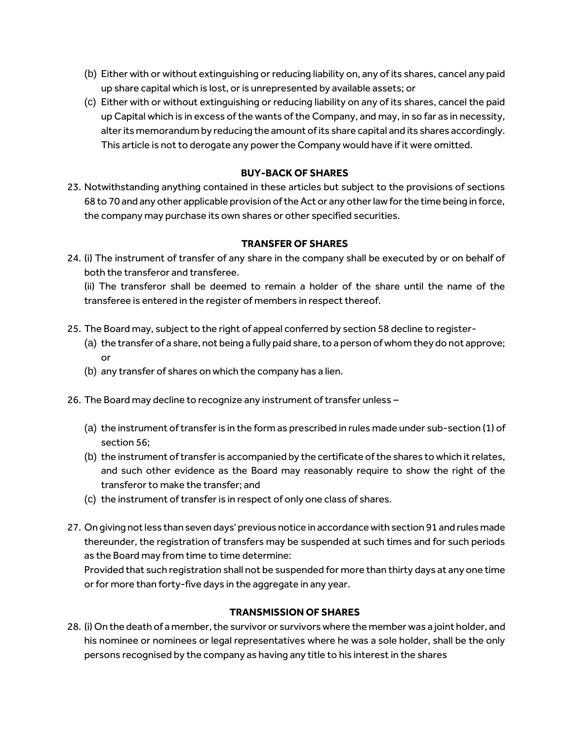- (b) Either with or without extinguishing or reducing liability on, any of its shares, cancel any paid up share capital which is lost, or is unrepresented by available assets; or
- (c) Either with or without extinguishing or reducing liability on any of its shares, cancel the paid up Capital which is in excess of the wants of the Company, and may, in so far as in necessity, alter its memorandum by reducing the amount of its share capital and its shares accordingly. This article is not to derogate any power the Company would have if it were omitted.

## **BUY-BACK OF SHARES**

23. Notwithstanding anything contained in these articles but subject to the provisions of sections 68 to 70 and any other applicable provision of the Act or any other law for the time being in force, the company may purchase its own shares or other specified securities.

#### **TRANSFER OF SHARES**

24. (i) The instrument of transfer of any share in the company shall be executed by or on behalf of both the transferor and transferee.

(ii) The transferor shall be deemed to remain a holder of the share until the name of the transferee is entered in the register of members in respect thereof.

- 25. The Board may, subject to the right of appeal conferred by section 58 decline to register-
	- (a) the transfer of a share, not being a fully paid share, to a person of whom they do not approve; or
	- (b) any transfer of shares on which the company has a lien.
- 26. The Board may decline to recognize any instrument of transfer unless
	- (a) the instrument of transfer is in the form as prescribed in rules made under sub-section (1) of section 56;
	- (b) the instrument of transfer is accompanied by the certificate of the shares to which it relates, and such other evidence as the Board may reasonably require to show the right of the transferor to make the transfer; and
	- (c) the instrument of transfer is in respect of only one class of shares.
- 27. On giving not less than seven days' previous notice in accordance with section 91 and rules made thereunder, the registration of transfers may be suspended at such times and for such periods as the Board may from time to time determine:

Provided that such registration shall not be suspended for more than thirty days at any one time or for more than forty-five days in the aggregate in any year.

#### **TRANSMISSION OF SHARES**

28. (i) On the death of a member, the survivor or survivors where the member was a joint holder, and his nominee or nominees or legal representatives where he was a sole holder, shall be the only persons recognised by the company as having any title to his interest in the shares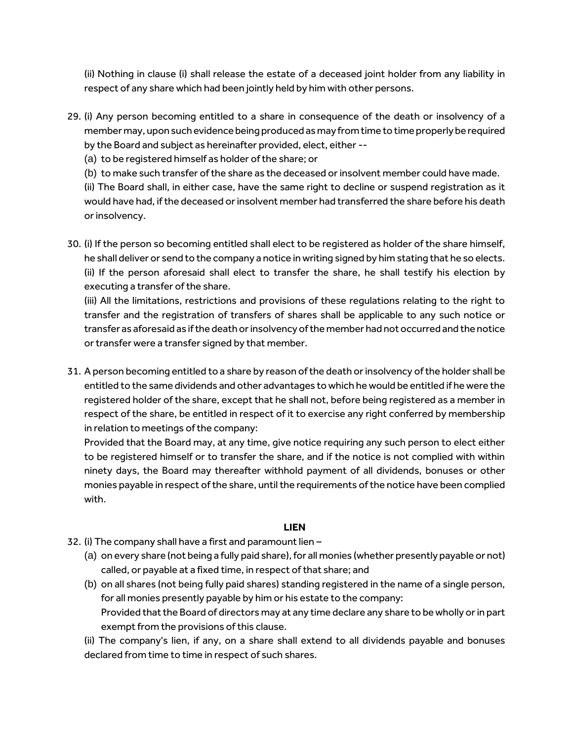(ii) Nothing in clause (i) shall release the estate of a deceased joint holder from any liability in respect of any share which had been jointly held by him with other persons.

- 29. (i) Any person becoming entitled to a share in consequence of the death or insolvency of a member may, upon such evidence being produced as may from time to time properly be required by the Board and subject as hereinafter provided, elect, either --
	- (a) to be registered himself as holder of the share; or
	- (b) to make such transfer of the share as the deceased or insolvent member could have made.

(ii) The Board shall, in either case, have the same right to decline or suspend registration as it would have had, if the deceased or insolvent member had transferred the share before his death or insolvency.

30. (i) If the person so becoming entitled shall elect to be registered as holder of the share himself, he shall deliver or send to the company a notice in writing signed by him stating that he so elects. (ii) If the person aforesaid shall elect to transfer the share, he shall testify his election by executing a transfer of the share.

(iii) All the limitations, restrictions and provisions of these regulations relating to the right to transfer and the registration of transfers of shares shall be applicable to any such notice or transfer as aforesaid as if the death or insolvency of the member had not occurred and the notice or transfer were a transfer signed by that member.

31. A person becoming entitled to a share by reason of the death or insolvency of the holder shall be entitled to the same dividends and other advantages to which he would be entitled if he were the registered holder of the share, except that he shall not, before being registered as a member in respect of the share, be entitled in respect of it to exercise any right conferred by membership in relation to meetings of the company:

Provided that the Board may, at any time, give notice requiring any such person to elect either to be registered himself or to transfer the share, and if the notice is not complied with within ninety days, the Board may thereafter withhold payment of all dividends, bonuses or other monies payable in respect of the share, until the requirements of the notice have been complied with.

## **LIEN**

- 32. (i) The company shall have a first and paramount lien
	- (a) on every share (not being a fully paid share), for all monies (whether presently payable or not) called, or payable at a fixed time, in respect of that share; and
	- (b) on all shares (not being fully paid shares) standing registered in the name of a single person, for all monies presently payable by him or his estate to the company: Provided that the Board of directors may at any time declare any share to be wholly or in part exempt from the provisions of this clause.

(ii) The company's lien, if any, on a share shall extend to all dividends payable and bonuses declared from time to time in respect of such shares.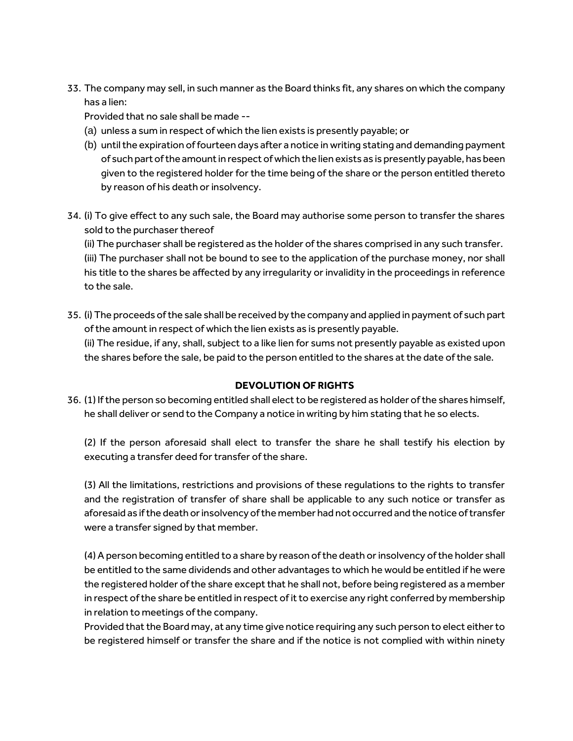33. The company may sell, in such manner as the Board thinks fit, any shares on which the company has a lien:

Provided that no sale shall be made --

- (a) unless a sum in respect of which the lien exists is presently payable; or
- (b) until the expiration of fourteen days after a notice in writing stating and demanding payment of such part of the amount in respect of which the lien exists as is presently payable, has been given to the registered holder for the time being of the share or the person entitled thereto by reason of his death or insolvency.
- 34. (i) To give effect to any such sale, the Board may authorise some person to transfer the shares sold to the purchaser thereof

(ii) The purchaser shall be registered as the holder of the shares comprised in any such transfer. (iii) The purchaser shall not be bound to see to the application of the purchase money, nor shall his title to the shares be affected by any irregularity or invalidity in the proceedings in reference to the sale.

35. (i) The proceeds of the sale shall be received by the company and applied in payment of such part of the amount in respect of which the lien exists as is presently payable. (ii) The residue, if any, shall, subject to a like lien for sums not presently payable as existed upon the shares before the sale, be paid to the person entitled to the shares at the date of the sale.

## **DEVOLUTION OF RIGHTS**

36. (1) If the person so becoming entitled shall elect to be registered as holder of the shares himself, he shall deliver or send to the Company a notice in writing by him stating that he so elects.

(2) If the person aforesaid shall elect to transfer the share he shall testify his election by executing a transfer deed for transfer of the share.

(3) All the limitations, restrictions and provisions of these regulations to the rights to transfer and the registration of transfer of share shall be applicable to any such notice or transfer as aforesaid as if the death or insolvency of the member had not occurred and the notice of transfer were a transfer signed by that member.

(4) A person becoming entitled to a share by reason of the death or insolvency of the holder shall be entitled to the same dividends and other advantages to which he would be entitled if he were the registered holder of the share except that he shall not, before being registered as a member in respect of the share be entitled in respect of it to exercise any right conferred by membership in relation to meetings of the company.

Provided that the Board may, at any time give notice requiring any such person to elect either to be registered himself or transfer the share and if the notice is not complied with within ninety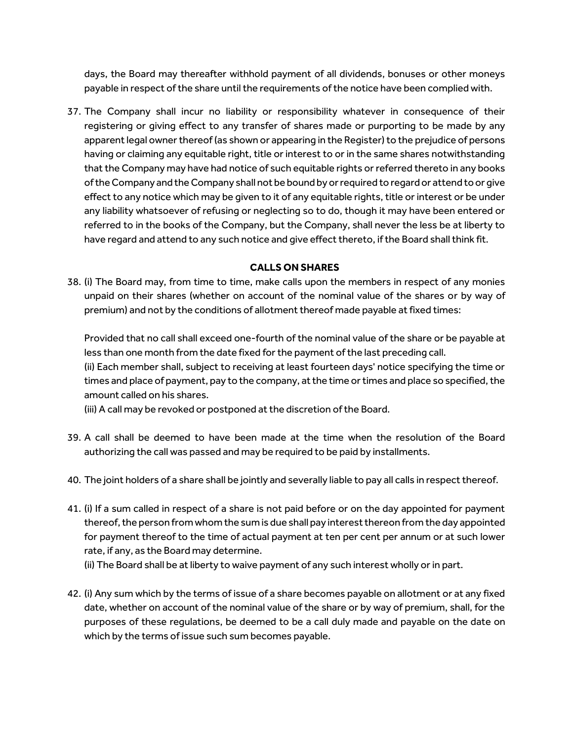days, the Board may thereafter withhold payment of all dividends, bonuses or other moneys payable in respect of the share until the requirements of the notice have been complied with.

37. The Company shall incur no liability or responsibility whatever in consequence of their registering or giving effect to any transfer of shares made or purporting to be made by any apparent legal owner thereof (as shown or appearing in the Register) to the prejudice of persons having or claiming any equitable right, title or interest to or in the same shares notwithstanding that the Company may have had notice of such equitable rights or referred thereto in any books of the Company and the Company shall not be bound by or required to regard or attend to or give effect to any notice which may be given to it of any equitable rights, title or interest or be under any liability whatsoever of refusing or neglecting so to do, though it may have been entered or referred to in the books of the Company, but the Company, shall never the less be at liberty to have regard and attend to any such notice and give effect thereto, if the Board shall think fit.

## **CALLS ON SHARES**

38. (i) The Board may, from time to time, make calls upon the members in respect of any monies unpaid on their shares (whether on account of the nominal value of the shares or by way of premium) and not by the conditions of allotment thereof made payable at fixed times:

Provided that no call shall exceed one-fourth of the nominal value of the share or be payable at less than one month from the date fixed for the payment of the last preceding call.

(ii) Each member shall, subject to receiving at least fourteen days' notice specifying the time or times and place of payment, pay to the company, at the time or times and place so specified, the amount called on his shares.

(iii) A call may be revoked or postponed at the discretion of the Board.

- 39. A call shall be deemed to have been made at the time when the resolution of the Board authorizing the call was passed and may be required to be paid by installments.
- 40. The joint holders of a share shall be jointly and severally liable to pay all calls in respect thereof.
- 41. (i) If a sum called in respect of a share is not paid before or on the day appointed for payment thereof, the person from whom the sum is due shall pay interest thereon from the day appointed for payment thereof to the time of actual payment at ten per cent per annum or at such lower rate, if any, as the Board may determine.

(ii) The Board shall be at liberty to waive payment of any such interest wholly or in part.

42. (i) Any sum which by the terms of issue of a share becomes payable on allotment or at any fixed date, whether on account of the nominal value of the share or by way of premium, shall, for the purposes of these regulations, be deemed to be a call duly made and payable on the date on which by the terms of issue such sum becomes payable.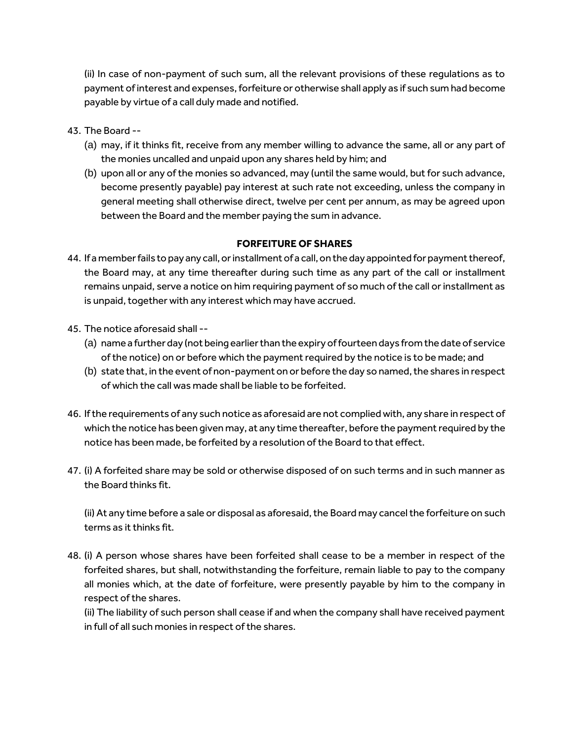(ii) In case of non-payment of such sum, all the relevant provisions of these regulations as to payment of interest and expenses, forfeiture or otherwise shall apply as if such sum had become payable by virtue of a call duly made and notified.

- 43. The Board --
	- (a) may, if it thinks fit, receive from any member willing to advance the same, all or any part of the monies uncalled and unpaid upon any shares held by him; and
	- (b) upon all or any of the monies so advanced, may (until the same would, but for such advance, become presently payable) pay interest at such rate not exceeding, unless the company in general meeting shall otherwise direct, twelve per cent per annum, as may be agreed upon between the Board and the member paying the sum in advance.

## **FORFEITURE OF SHARES**

- 44. If a member fails to pay any call, or installment of a call, on the day appointed for payment thereof, the Board may, at any time thereafter during such time as any part of the call or installment remains unpaid, serve a notice on him requiring payment of so much of the call or installment as is unpaid, together with any interest which may have accrued.
- 45. The notice aforesaid shall --
	- (a) name a further day (not being earlier than the expiry of fourteen days from the date of service of the notice) on or before which the payment required by the notice is to be made; and
	- (b) state that, in the event of non-payment on or before the day so named, the shares in respect of which the call was made shall be liable to be forfeited.
- 46. If the requirements of any such notice as aforesaid are not complied with, any share in respect of which the notice has been given may, at any time thereafter, before the payment required by the notice has been made, be forfeited by a resolution of the Board to that effect.
- 47. (i) A forfeited share may be sold or otherwise disposed of on such terms and in such manner as the Board thinks fit.

(ii) At any time before a sale or disposal as aforesaid, the Board may cancel the forfeiture on such terms as it thinks fit.

48. (i) A person whose shares have been forfeited shall cease to be a member in respect of the forfeited shares, but shall, notwithstanding the forfeiture, remain liable to pay to the company all monies which, at the date of forfeiture, were presently payable by him to the company in respect of the shares.

(ii) The liability of such person shall cease if and when the company shall have received payment in full of all such monies in respect of the shares.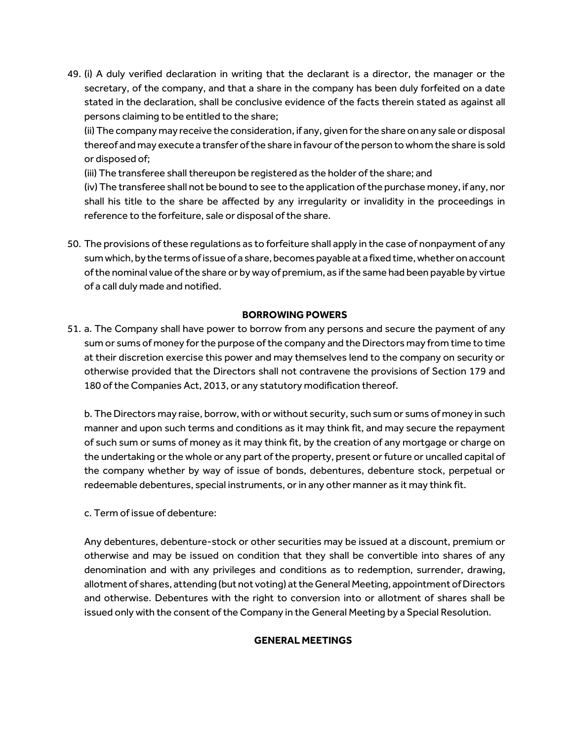49. (i) A duly verified declaration in writing that the declarant is a director, the manager or the secretary, of the company, and that a share in the company has been duly forfeited on a date stated in the declaration, shall be conclusive evidence of the facts therein stated as against all persons claiming to be entitled to the share;

(ii) The company may receive the consideration, if any, given for the share on any sale or disposal thereof and may execute a transfer of the share in favour of the person to whom the share is sold or disposed of;

(iii) The transferee shall thereupon be registered as the holder of the share; and

(iv) The transferee shall not be bound to see to the application of the purchase money, if any, nor shall his title to the share be affected by any irregularity or invalidity in the proceedings in reference to the forfeiture, sale or disposal of the share.

50. The provisions of these regulations as to forfeiture shall apply in the case of nonpayment of any sum which, by the terms of issue of a share, becomes payable at a fixed time, whether on account of the nominal value of the share or by way of premium, as if the same had been payable by virtue of a call duly made and notified.

#### **BORROWING POWERS**

51. a. The Company shall have power to borrow from any persons and secure the payment of any sum or sums of money for the purpose of the company and the Directors may from time to time at their discretion exercise this power and may themselves lend to the company on security or otherwise provided that the Directors shall not contravene the provisions of Section 179 and 180 of the Companies Act, 2013, or any statutory modification thereof.

b. The Directors may raise, borrow, with or without security, such sum or sums of money in such manner and upon such terms and conditions as it may think fit, and may secure the repayment of such sum or sums of money as it may think fit, by the creation of any mortgage or charge on the undertaking or the whole or any part of the property, present or future or uncalled capital of the company whether by way of issue of bonds, debentures, debenture stock, perpetual or redeemable debentures, special instruments, or in any other manner as it may think fit.

c. Term of issue of debenture:

Any debentures, debenture-stock or other securities may be issued at a discount, premium or otherwise and may be issued on condition that they shall be convertible into shares of any denomination and with any privileges and conditions as to redemption, surrender, drawing, allotment of shares, attending (but not voting) at the General Meeting, appointment of Directors and otherwise. Debentures with the right to conversion into or allotment of shares shall be issued only with the consent of the Company in the General Meeting by a Special Resolution.

## **GENERAL MEETINGS**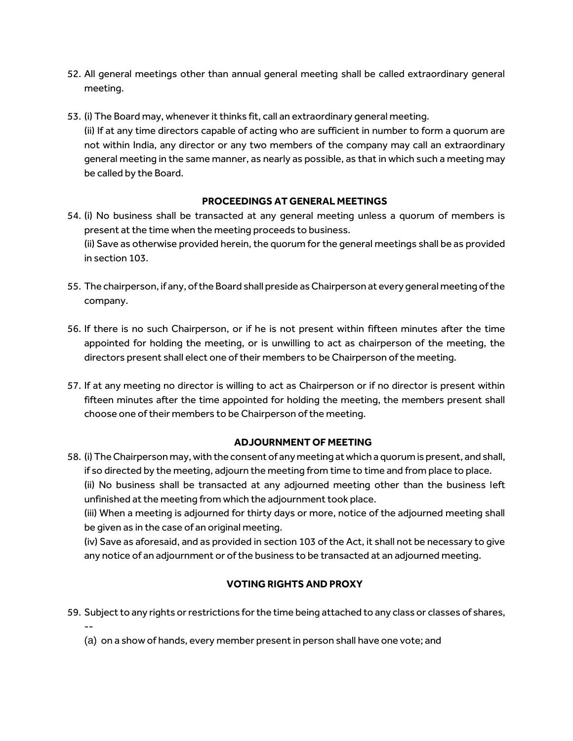- 52. All general meetings other than annual general meeting shall be called extraordinary general meeting.
- 53. (i) The Board may, whenever it thinks fit, call an extraordinary general meeting. (ii) If at any time directors capable of acting who are sufficient in number to form a quorum are not within India, any director or any two members of the company may call an extraordinary general meeting in the same manner, as nearly as possible, as that in which such a meeting may be called by the Board.

## **PROCEEDINGS AT GENERAL MEETINGS**

- 54. (i) No business shall be transacted at any general meeting unless a quorum of members is present at the time when the meeting proceeds to business. (ii) Save as otherwise provided herein, the quorum for the general meetings shall be as provided in section 103.
- 55. The chairperson, if any, of the Board shall preside as Chairperson at every general meeting of the company.
- 56. If there is no such Chairperson, or if he is not present within fifteen minutes after the time appointed for holding the meeting, or is unwilling to act as chairperson of the meeting, the directors present shall elect one of their members to be Chairperson of the meeting.
- 57. If at any meeting no director is willing to act as Chairperson or if no director is present within fifteen minutes after the time appointed for holding the meeting, the members present shall choose one of their members to be Chairperson of the meeting.

## **ADJOURNMENT OF MEETING**

58. (i) The Chairperson may, with the consent of any meeting at which a quorum is present, and shall, if so directed by the meeting, adjourn the meeting from time to time and from place to place. (ii) No business shall be transacted at any adjourned meeting other than the business left unfinished at the meeting from which the adjournment took place.

(iii) When a meeting is adjourned for thirty days or more, notice of the adjourned meeting shall be given as in the case of an original meeting.

(iv) Save as aforesaid, and as provided in section 103 of the Act, it shall not be necessary to give any notice of an adjournment or of the business to be transacted at an adjourned meeting.

# **VOTING RIGHTS AND PROXY**

- 59. Subject to any rights or restrictions for the time being attached to any class or classes of shares, --
	- (a) on a show of hands, every member present in person shall have one vote; and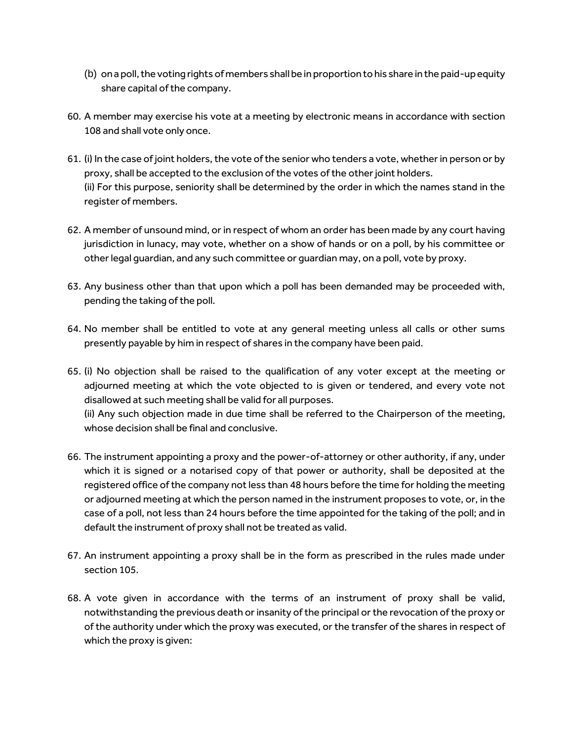- (b) on a poll, the voting rights of members shall be in proportion to his share in the paid-up equity share capital of the company.
- 60. A member may exercise his vote at a meeting by electronic means in accordance with section 108 and shall vote only once.
- 61. (i) In the case of joint holders, the vote of the senior who tenders a vote, whether in person or by proxy, shall be accepted to the exclusion of the votes of the other joint holders. (ii) For this purpose, seniority shall be determined by the order in which the names stand in the register of members.
- 62. A member of unsound mind, or in respect of whom an order has been made by any court having jurisdiction in lunacy, may vote, whether on a show of hands or on a poll, by his committee or other legal guardian, and any such committee or guardian may, on a poll, vote by proxy.
- 63. Any business other than that upon which a poll has been demanded may be proceeded with, pending the taking of the poll.
- 64. No member shall be entitled to vote at any general meeting unless all calls or other sums presently payable by him in respect of shares in the company have been paid.
- 65. (i) No objection shall be raised to the qualification of any voter except at the meeting or adjourned meeting at which the vote objected to is given or tendered, and every vote not disallowed at such meeting shall be valid for all purposes. (ii) Any such objection made in due time shall be referred to the Chairperson of the meeting, whose decision shall be final and conclusive.
- 66. The instrument appointing a proxy and the power-of-attorney or other authority, if any, under which it is signed or a notarised copy of that power or authority, shall be deposited at the registered office of the company not less than 48 hours before the time for holding the meeting or adjourned meeting at which the person named in the instrument proposes to vote, or, in the case of a poll, not less than 24 hours before the time appointed for the taking of the poll; and in default the instrument of proxy shall not be treated as valid.
- 67. An instrument appointing a proxy shall be in the form as prescribed in the rules made under section 105.
- 68. A vote given in accordance with the terms of an instrument of proxy shall be valid, notwithstanding the previous death or insanity of the principal or the revocation of the proxy or of the authority under which the proxy was executed, or the transfer of the shares in respect of which the proxy is given: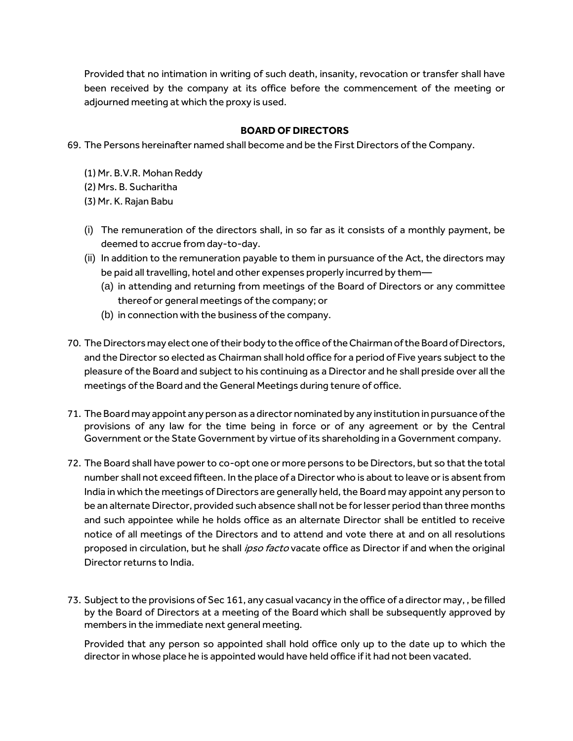Provided that no intimation in writing of such death, insanity, revocation or transfer shall have been received by the company at its office before the commencement of the meeting or adjourned meeting at which the proxy is used.

#### **BOARD OF DIRECTORS**

69. The Persons hereinafter named shall become and be the First Directors of the Company.

- (1) Mr. B.V.R. Mohan Reddy
- (2) Mrs. B. Sucharitha
- (3) Mr. K. Rajan Babu
- (i) The remuneration of the directors shall, in so far as it consists of a monthly payment, be deemed to accrue from day-to-day.
- (ii) In addition to the remuneration payable to them in pursuance of the Act, the directors may be paid all travelling, hotel and other expenses properly incurred by them—
	- (a) in attending and returning from meetings of the Board of Directors or any committee thereof or general meetings of the company; or
	- (b) in connection with the business of the company.
- 70. The Directors may elect one of their body to the office of the Chairman of the Board of Directors, and the Director so elected as Chairman shall hold office for a period of Five years subject to the pleasure of the Board and subject to his continuing as a Director and he shall preside over all the meetings of the Board and the General Meetings during tenure of office.
- 71. The Board may appoint any person as a director nominated by any institution in pursuance of the provisions of any law for the time being in force or of any agreement or by the Central Government or the State Government by virtue of its shareholding in a Government company.
- 72. The Board shall have power to co-opt one or more persons to be Directors, but so that the total number shall not exceed fifteen. In the place of a Director who is about to leave or is absent from India in which the meetings of Directors are generally held, the Board may appoint any person to be an alternate Director, provided such absence shall not be for lesser period than three months and such appointee while he holds office as an alternate Director shall be entitled to receive notice of all meetings of the Directors and to attend and vote there at and on all resolutions proposed in circulation, but he shall ipso facto vacate office as Director if and when the original Director returns to India.
- 73. Subject to the provisions of Sec 161, any casual vacancy in the office of a director may, , be filled by the Board of Directors at a meeting of the Board which shall be subsequently approved by members in the immediate next general meeting.

Provided that any person so appointed shall hold office only up to the date up to which the director in whose place he is appointed would have held office if it had not been vacated.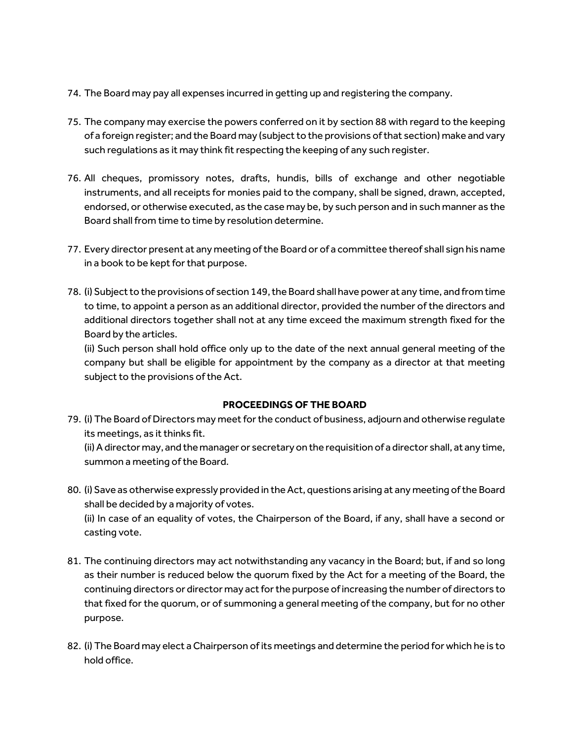- 74. The Board may pay all expenses incurred in getting up and registering the company.
- 75. The company may exercise the powers conferred on it by section 88 with regard to the keeping of a foreign register; and the Board may (subject to the provisions of that section) make and vary such regulations as it may think fit respecting the keeping of any such register.
- 76. All cheques, promissory notes, drafts, hundis, bills of exchange and other negotiable instruments, and all receipts for monies paid to the company, shall be signed, drawn, accepted, endorsed, or otherwise executed, as the case may be, by such person and in such manner as the Board shall from time to time by resolution determine.
- 77. Every director present at any meeting of the Board or of a committee thereof shall sign his name in a book to be kept for that purpose.
- 78. (i) Subject to the provisions of section 149, the Board shall have power at any time, and from time to time, to appoint a person as an additional director, provided the number of the directors and additional directors together shall not at any time exceed the maximum strength fixed for the Board by the articles.

(ii) Such person shall hold office only up to the date of the next annual general meeting of the company but shall be eligible for appointment by the company as a director at that meeting subject to the provisions of the Act.

## **PROCEEDINGS OF THE BOARD**

79. (i) The Board of Directors may meet for the conduct of business, adjourn and otherwise regulate its meetings, as it thinks fit.

(ii) A director may, and the manager or secretary on the requisition of a director shall, at any time, summon a meeting of the Board.

80. (i) Save as otherwise expressly provided in the Act, questions arising at any meeting of the Board shall be decided by a majority of votes. (ii) In case of an equality of votes, the Chairperson of the Board, if any, shall have a second or

casting vote.

- 81. The continuing directors may act notwithstanding any vacancy in the Board; but, if and so long as their number is reduced below the quorum fixed by the Act for a meeting of the Board, the continuing directors or director may act for the purpose of increasing the number of directors to that fixed for the quorum, or of summoning a general meeting of the company, but for no other purpose.
- 82. (i) The Board may elect a Chairperson of its meetings and determine the period for which he is to hold office.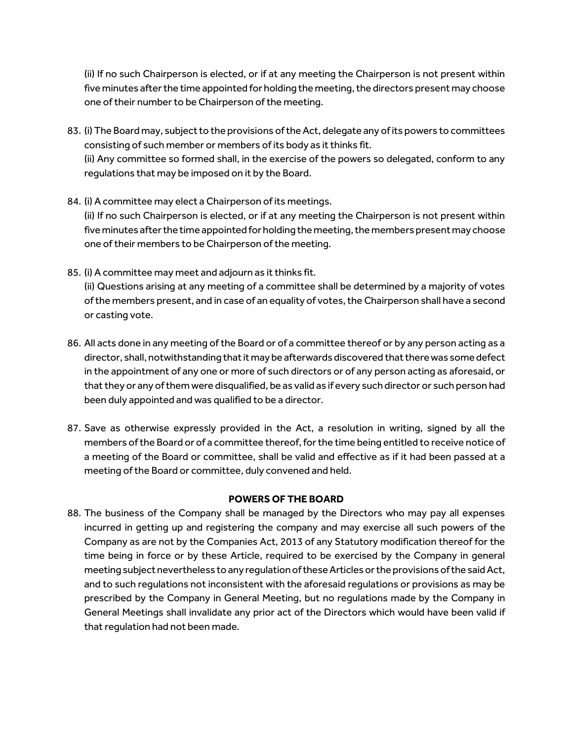(ii) If no such Chairperson is elected, or if at any meeting the Chairperson is not present within five minutes after the time appointed for holding the meeting, the directors present may choose one of their number to be Chairperson of the meeting.

- 83. (i) The Board may, subject to the provisions of the Act, delegate any of its powers to committees consisting of such member or members of its body as it thinks fit. (ii) Any committee so formed shall, in the exercise of the powers so delegated, conform to any regulations that may be imposed on it by the Board.
- 84. (i) A committee may elect a Chairperson of its meetings. (ii) If no such Chairperson is elected, or if at any meeting the Chairperson is not present within five minutes after the time appointed for holding the meeting, the members present may choose one of their members to be Chairperson of the meeting.
- 85. (i) A committee may meet and adjourn as it thinks fit.

(ii) Questions arising at any meeting of a committee shall be determined by a majority of votes of the members present, and in case of an equality of votes, the Chairperson shall have a second or casting vote.

- 86. All acts done in any meeting of the Board or of a committee thereof or by any person acting as a director, shall, notwithstanding that it may be afterwards discovered that there was some defect in the appointment of any one or more of such directors or of any person acting as aforesaid, or that they or any of them were disqualified, be as valid as if every such director or such person had been duly appointed and was qualified to be a director.
- 87. Save as otherwise expressly provided in the Act, a resolution in writing, signed by all the members of the Board or of a committee thereof, for the time being entitled to receive notice of a meeting of the Board or committee, shall be valid and effective as if it had been passed at a meeting of the Board or committee, duly convened and held.

## **POWERS OF THE BOARD**

88. The business of the Company shall be managed by the Directors who may pay all expenses incurred in getting up and registering the company and may exercise all such powers of the Company as are not by the Companies Act, 2013 of any Statutory modification thereof for the time being in force or by these Article, required to be exercised by the Company in general meeting subject nevertheless to any regulation of these Articles or the provisions of the said Act, and to such regulations not inconsistent with the aforesaid regulations or provisions as may be prescribed by the Company in General Meeting, but no regulations made by the Company in General Meetings shall invalidate any prior act of the Directors which would have been valid if that regulation had not been made.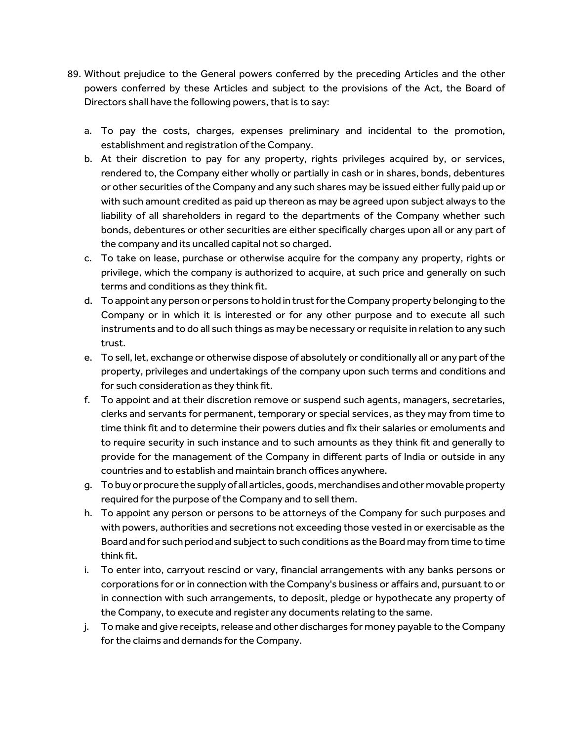- 89. Without prejudice to the General powers conferred by the preceding Articles and the other powers conferred by these Articles and subject to the provisions of the Act, the Board of Directors shall have the following powers, that is to say:
	- a. To pay the costs, charges, expenses preliminary and incidental to the promotion, establishment and registration of the Company.
	- b. At their discretion to pay for any property, rights privileges acquired by, or services, rendered to, the Company either wholly or partially in cash or in shares, bonds, debentures or other securities of the Company and any such shares may be issued either fully paid up or with such amount credited as paid up thereon as may be agreed upon subject always to the liability of all shareholders in regard to the departments of the Company whether such bonds, debentures or other securities are either specifically charges upon all or any part of the company and its uncalled capital not so charged.
	- c. To take on lease, purchase or otherwise acquire for the company any property, rights or privilege, which the company is authorized to acquire, at such price and generally on such terms and conditions as they think fit.
	- d. To appoint any person or persons to hold in trust for the Company property belonging to the Company or in which it is interested or for any other purpose and to execute all such instruments and to do all such things as may be necessary or requisite in relation to any such trust.
	- e. To sell, let, exchange or otherwise dispose of absolutely or conditionally all or any part of the property, privileges and undertakings of the company upon such terms and conditions and for such consideration as they think fit.
	- f. To appoint and at their discretion remove or suspend such agents, managers, secretaries, clerks and servants for permanent, temporary or special services, as they may from time to time think fit and to determine their powers duties and fix their salaries or emoluments and to require security in such instance and to such amounts as they think fit and generally to provide for the management of the Company in different parts of India or outside in any countries and to establish and maintain branch offices anywhere.
	- g. To buy or procure the supply of all articles, goods, merchandises and other movable property required for the purpose of the Company and to sell them.
	- h. To appoint any person or persons to be attorneys of the Company for such purposes and with powers, authorities and secretions not exceeding those vested in or exercisable as the Board and for such period and subject to such conditions as the Board may from time to time think fit.
	- i. To enter into, carryout rescind or vary, financial arrangements with any banks persons or corporations for or in connection with the Company's business or affairs and, pursuant to or in connection with such arrangements, to deposit, pledge or hypothecate any property of the Company, to execute and register any documents relating to the same.
	- j. To make and give receipts, release and other discharges for money payable to the Company for the claims and demands for the Company.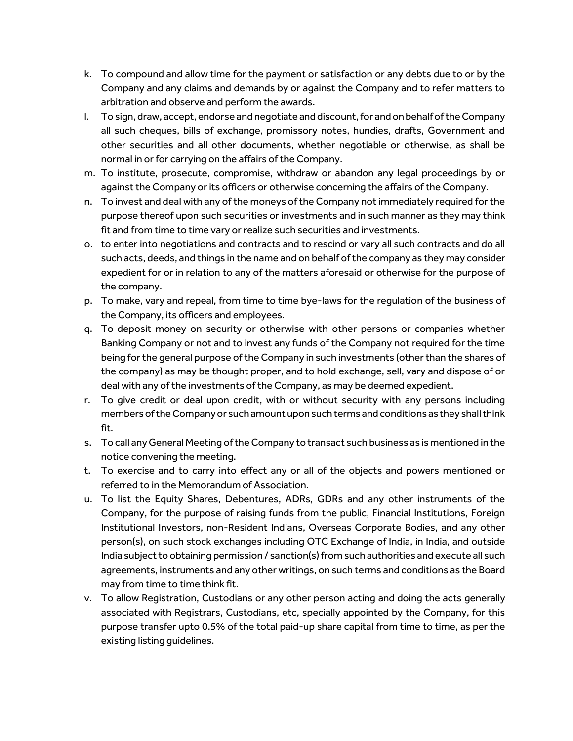- k. To compound and allow time for the payment or satisfaction or any debts due to or by the Company and any claims and demands by or against the Company and to refer matters to arbitration and observe and perform the awards.
- l. To sign, draw, accept, endorse and negotiate and discount, for and on behalf of the Company all such cheques, bills of exchange, promissory notes, hundies, drafts, Government and other securities and all other documents, whether negotiable or otherwise, as shall be normal in or for carrying on the affairs of the Company.
- m. To institute, prosecute, compromise, withdraw or abandon any legal proceedings by or against the Company or its officers or otherwise concerning the affairs of the Company.
- n. To invest and deal with any of the moneys of the Company not immediately required for the purpose thereof upon such securities or investments and in such manner as they may think fit and from time to time vary or realize such securities and investments.
- o. to enter into negotiations and contracts and to rescind or vary all such contracts and do all such acts, deeds, and things in the name and on behalf of the company as they may consider expedient for or in relation to any of the matters aforesaid or otherwise for the purpose of the company.
- p. To make, vary and repeal, from time to time bye-laws for the regulation of the business of the Company, its officers and employees.
- q. To deposit money on security or otherwise with other persons or companies whether Banking Company or not and to invest any funds of the Company not required for the time being for the general purpose of the Company in such investments (other than the shares of the company) as may be thought proper, and to hold exchange, sell, vary and dispose of or deal with any of the investments of the Company, as may be deemed expedient.
- r. To give credit or deal upon credit, with or without security with any persons including members of the Company or such amount upon such terms and conditions as they shall think fit.
- s. To call any General Meeting of the Company to transact such business as is mentioned in the notice convening the meeting.
- t. To exercise and to carry into effect any or all of the objects and powers mentioned or referred to in the Memorandum of Association.
- u. To list the Equity Shares, Debentures, ADRs, GDRs and any other instruments of the Company, for the purpose of raising funds from the public, Financial Institutions, Foreign Institutional Investors, non-Resident Indians, Overseas Corporate Bodies, and any other person(s), on such stock exchanges including OTC Exchange of India, in India, and outside India subject to obtaining permission / sanction(s) from such authorities and execute all such agreements, instruments and any other writings, on such terms and conditions as the Board may from time to time think fit.
- v. To allow Registration, Custodians or any other person acting and doing the acts generally associated with Registrars, Custodians, etc, specially appointed by the Company, for this purpose transfer upto 0.5% of the total paid-up share capital from time to time, as per the existing listing guidelines.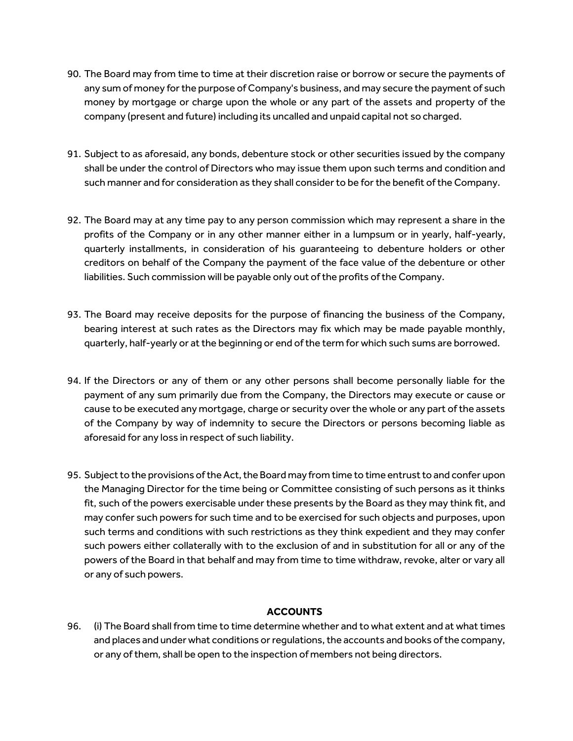- 90. The Board may from time to time at their discretion raise or borrow or secure the payments of any sum of money for the purpose of Company's business, and may secure the payment of such money by mortgage or charge upon the whole or any part of the assets and property of the company (present and future) including its uncalled and unpaid capital not so charged.
- 91. Subject to as aforesaid, any bonds, debenture stock or other securities issued by the company shall be under the control of Directors who may issue them upon such terms and condition and such manner and for consideration as they shall consider to be for the benefit of the Company.
- 92. The Board may at any time pay to any person commission which may represent a share in the profits of the Company or in any other manner either in a lumpsum or in yearly, half-yearly, quarterly installments, in consideration of his guaranteeing to debenture holders or other creditors on behalf of the Company the payment of the face value of the debenture or other liabilities. Such commission will be payable only out of the profits of the Company.
- 93. The Board may receive deposits for the purpose of financing the business of the Company, bearing interest at such rates as the Directors may fix which may be made payable monthly, quarterly, half-yearly or at the beginning or end of the term for which such sums are borrowed.
- 94. If the Directors or any of them or any other persons shall become personally liable for the payment of any sum primarily due from the Company, the Directors may execute or cause or cause to be executed any mortgage, charge or security over the whole or any part of the assets of the Company by way of indemnity to secure the Directors or persons becoming liable as aforesaid for any loss in respect of such liability.
- 95. Subject to the provisions of the Act, the Board may from time to time entrust to and confer upon the Managing Director for the time being or Committee consisting of such persons as it thinks fit, such of the powers exercisable under these presents by the Board as they may think fit, and may confer such powers for such time and to be exercised for such objects and purposes, upon such terms and conditions with such restrictions as they think expedient and they may confer such powers either collaterally with to the exclusion of and in substitution for all or any of the powers of the Board in that behalf and may from time to time withdraw, revoke, alter or vary all or any of such powers.

## **ACCOUNTS**

96. (i) The Board shall from time to time determine whether and to what extent and at what times and places and under what conditions or regulations, the accounts and books of the company, or any of them, shall be open to the inspection of members not being directors.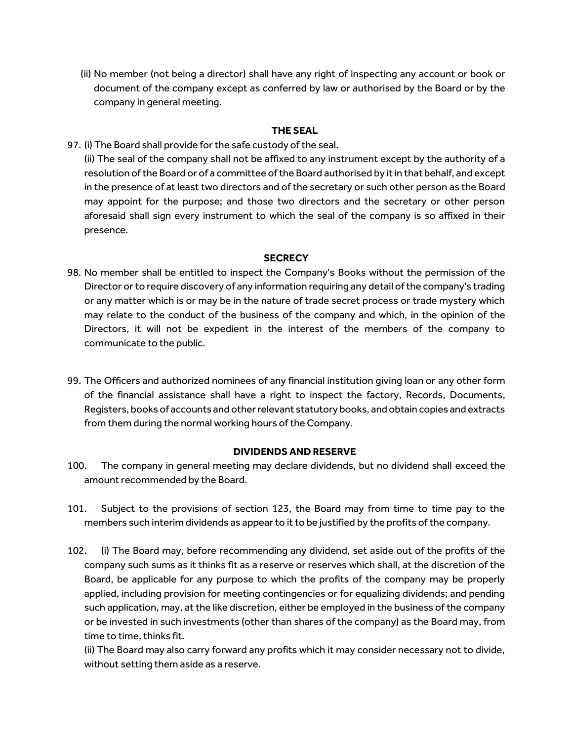(ii) No member (not being a director) shall have any right of inspecting any account or book or document of the company except as conferred by law or authorised by the Board or by the company in general meeting.

#### **THE SEAL**

## 97. (i) The Board shall provide for the safe custody of the seal.

(ii) The seal of the company shall not be affixed to any instrument except by the authority of a resolution of the Board or of a committee of the Board authorised by it in that behalf, and except in the presence of at least two directors and of the secretary or such other person as the Board may appoint for the purpose; and those two directors and the secretary or other person aforesaid shall sign every instrument to which the seal of the company is so affixed in their presence.

#### **SECRECY**

- 98. No member shall be entitled to inspect the Company's Books without the permission of the Director or to require discovery of any information requiring any detail of the company's trading or any matter which is or may be in the nature of trade secret process or trade mystery which may relate to the conduct of the business of the company and which, in the opinion of the Directors, it will not be expedient in the interest of the members of the company to communicate to the public.
- 99. The Officers and authorized nominees of any financial institution giving loan or any other form of the financial assistance shall have a right to inspect the factory, Records, Documents, Registers, books of accounts and other relevant statutory books, and obtain copies and extracts from them during the normal working hours of the Company.

## **DIVIDENDS AND RESERVE**

- 100. The company in general meeting may declare dividends, but no dividend shall exceed the amount recommended by the Board.
- 101. Subject to the provisions of section 123, the Board may from time to time pay to the members such interim dividends as appear to it to be justified by the profits of the company.
- 102. (i) The Board may, before recommending any dividend, set aside out of the profits of the company such sums as it thinks fit as a reserve or reserves which shall, at the discretion of the Board, be applicable for any purpose to which the profits of the company may be properly applied, including provision for meeting contingencies or for equalizing dividends; and pending such application, may, at the like discretion, either be employed in the business of the company or be invested in such investments (other than shares of the company) as the Board may, from time to time, thinks fit.

(ii) The Board may also carry forward any profits which it may consider necessary not to divide, without setting them aside as a reserve.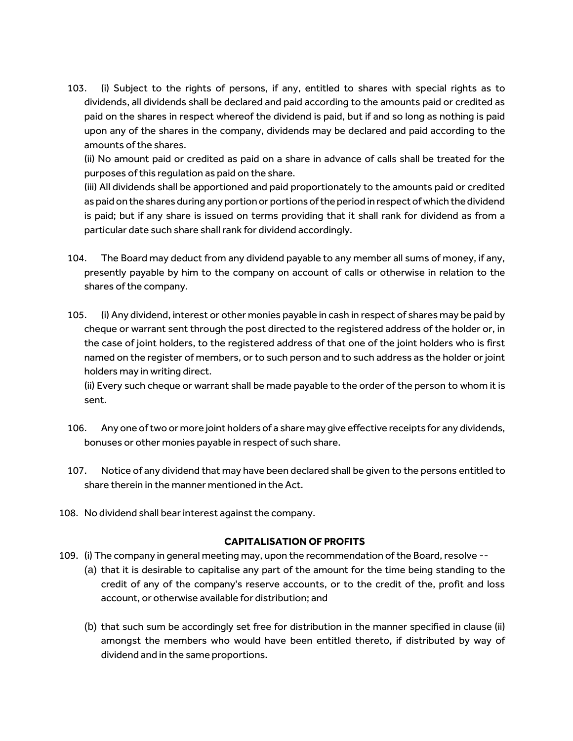103. (i) Subject to the rights of persons, if any, entitled to shares with special rights as to dividends, all dividends shall be declared and paid according to the amounts paid or credited as paid on the shares in respect whereof the dividend is paid, but if and so long as nothing is paid upon any of the shares in the company, dividends may be declared and paid according to the amounts of the shares.

(ii) No amount paid or credited as paid on a share in advance of calls shall be treated for the purposes of this regulation as paid on the share.

(iii) All dividends shall be apportioned and paid proportionately to the amounts paid or credited as paid on the shares during any portion or portions of the period in respect of which the dividend is paid; but if any share is issued on terms providing that it shall rank for dividend as from a particular date such share shall rank for dividend accordingly.

- 104. The Board may deduct from any dividend payable to any member all sums of money, if any, presently payable by him to the company on account of calls or otherwise in relation to the shares of the company.
- 105. (i) Any dividend, interest or other monies payable in cash in respect of shares may be paid by cheque or warrant sent through the post directed to the registered address of the holder or, in the case of joint holders, to the registered address of that one of the joint holders who is first named on the register of members, or to such person and to such address as the holder or joint holders may in writing direct.

(ii) Every such cheque or warrant shall be made payable to the order of the person to whom it is sent.

- 106. Any one of two or more joint holders of a share may give effective receipts for any dividends, bonuses or other monies payable in respect of such share.
- 107. Notice of any dividend that may have been declared shall be given to the persons entitled to share therein in the manner mentioned in the Act.
- 108. No dividend shall bear interest against the company.

#### **CAPITALISATION OF PROFITS**

- 109. (i) The company in general meeting may, upon the recommendation of the Board, resolve --
	- (a) that it is desirable to capitalise any part of the amount for the time being standing to the credit of any of the company's reserve accounts, or to the credit of the, profit and loss account, or otherwise available for distribution; and
	- (b) that such sum be accordingly set free for distribution in the manner specified in clause (ii) amongst the members who would have been entitled thereto, if distributed by way of dividend and in the same proportions.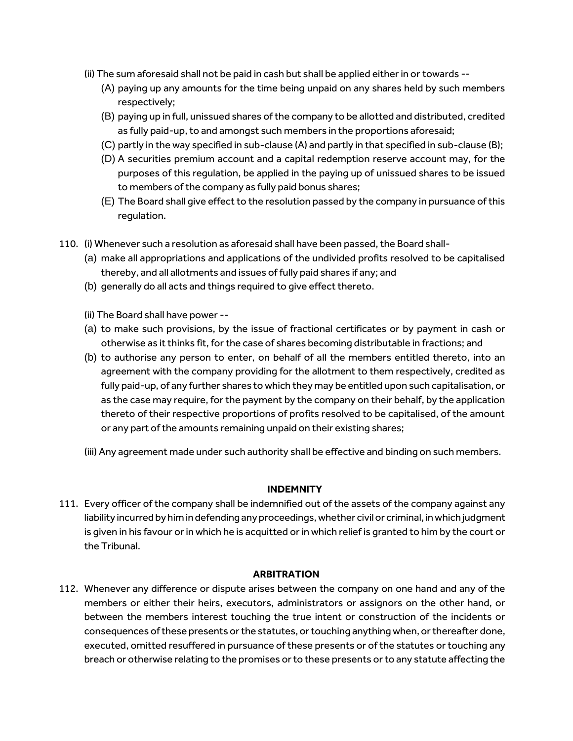- (ii) The sum aforesaid shall not be paid in cash but shall be applied either in or towards --
	- (A) paying up any amounts for the time being unpaid on any shares held by such members respectively;
	- (B) paying up in full, unissued shares of the company to be allotted and distributed, credited as fully paid-up, to and amongst such members in the proportions aforesaid;
	- (C) partly in the way specified in sub-clause (A) and partly in that specified in sub-clause (B);
	- (D) A securities premium account and a capital redemption reserve account may, for the purposes of this regulation, be applied in the paying up of unissued shares to be issued to members of the company as fully paid bonus shares;
	- (E) The Board shall give effect to the resolution passed by the company in pursuance of this regulation.
- 110. (i) Whenever such a resolution as aforesaid shall have been passed, the Board shall-
	- (a) make all appropriations and applications of the undivided profits resolved to be capitalised thereby, and all allotments and issues of fully paid shares if any; and
	- (b) generally do all acts and things required to give effect thereto.
	- (ii) The Board shall have power --
	- (a) to make such provisions, by the issue of fractional certificates or by payment in cash or otherwise as it thinks fit, for the case of shares becoming distributable in fractions; and
	- (b) to authorise any person to enter, on behalf of all the members entitled thereto, into an agreement with the company providing for the allotment to them respectively, credited as fully paid-up, of any further shares to which they may be entitled upon such capitalisation, or as the case may require, for the payment by the company on their behalf, by the application thereto of their respective proportions of profits resolved to be capitalised, of the amount or any part of the amounts remaining unpaid on their existing shares;
	- (iii) Any agreement made under such authority shall be effective and binding on such members.

#### **INDEMNITY**

111. Every officer of the company shall be indemnified out of the assets of the company against any liability incurred by him in defending any proceedings, whether civil or criminal, in which judgment is given in his favour or in which he is acquitted or in which relief is granted to him by the court or the Tribunal.

#### **ARBITRATION**

112. Whenever any difference or dispute arises between the company on one hand and any of the members or either their heirs, executors, administrators or assignors on the other hand, or between the members interest touching the true intent or construction of the incidents or consequences of these presents or the statutes, or touching anything when, or thereafter done, executed, omitted resuffered in pursuance of these presents or of the statutes or touching any breach or otherwise relating to the promises or to these presents or to any statute affecting the